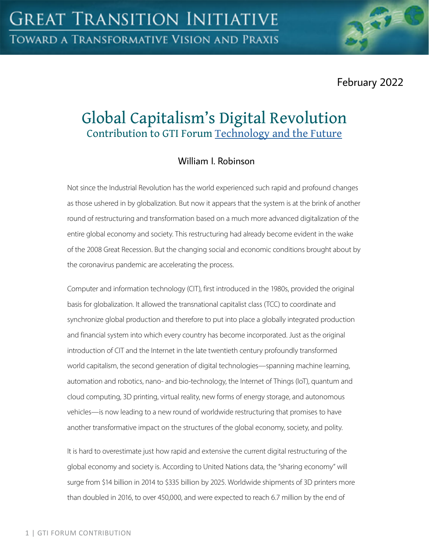February 2022

# Global Capitalism's Digital Revolution Contribution to GTI Forum [Technology and the Future](https://greattransition.org/gti-forum/tech-and-the-future)

# William I. Robinson

Not since the Industrial Revolution has the world experienced such rapid and profound changes as those ushered in by globalization. But now it appears that the system is at the brink of another round of restructuring and transformation based on a much more advanced digitalization of the entire global economy and society. This restructuring had already become evident in the wake of the 2008 Great Recession. But the changing social and economic conditions brought about by the coronavirus pandemic are accelerating the process.

Computer and information technology (CIT), first introduced in the 1980s, provided the original basis for globalization. It allowed the transnational capitalist class (TCC) to coordinate and synchronize global production and therefore to put into place a globally integrated production and financial system into which every country has become incorporated. Just as the original introduction of CIT and the Internet in the late twentieth century profoundly transformed world capitalism, the second generation of digital technologies—spanning machine learning, automation and robotics, nano- and bio-technology, the Internet of Things (IoT), quantum and cloud computing, 3D printing, virtual reality, new forms of energy storage, and autonomous vehicles—is now leading to a new round of worldwide restructuring that promises to have another transformative impact on the structures of the global economy, society, and polity.

It is hard to overestimate just how rapid and extensive the current digital restructuring of the global economy and society is. According to United Nations data, the "sharing economy" will surge from \$14 billion in 2014 to \$335 billion by 2025. Worldwide shipments of 3D printers more than doubled in 2016, to over 450,000, and were expected to reach 6.7 million by the end of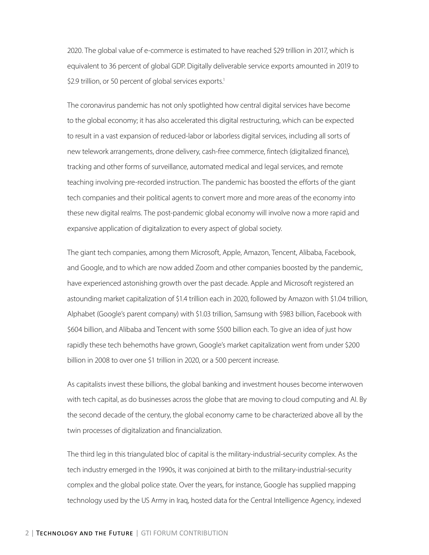2020. The global value of e-commerce is estimated to have reached \$29 trillion in 2017, which is equivalent to 36 percent of global GDP. Digitally deliverable service exports amounted in 2019 to \$2.9 trillion, or 50 percent of global services exports.<sup>1</sup>

The coronavirus pandemic has not only spotlighted how central digital services have become to the global economy; it has also accelerated this digital restructuring, which can be expected to result in a vast expansion of reduced-labor or laborless digital services, including all sorts of new telework arrangements, drone delivery, cash-free commerce, fintech (digitalized finance), tracking and other forms of surveillance, automated medical and legal services, and remote teaching involving pre-recorded instruction. The pandemic has boosted the efforts of the giant tech companies and their political agents to convert more and more areas of the economy into these new digital realms. The post-pandemic global economy will involve now a more rapid and expansive application of digitalization to every aspect of global society.

The giant tech companies, among them Microsoft, Apple, Amazon, Tencent, Alibaba, Facebook, and Google, and to which are now added Zoom and other companies boosted by the pandemic, have experienced astonishing growth over the past decade. Apple and Microsoft registered an astounding market capitalization of \$1.4 trillion each in 2020, followed by Amazon with \$1.04 trillion, Alphabet (Google's parent company) with \$1.03 trillion, Samsung with \$983 billion, Facebook with \$604 billion, and Alibaba and Tencent with some \$500 billion each. To give an idea of just how rapidly these tech behemoths have grown, Google's market capitalization went from under \$200 billion in 2008 to over one \$1 trillion in 2020, or a 500 percent increase.

As capitalists invest these billions, the global banking and investment houses become interwoven with tech capital, as do businesses across the globe that are moving to cloud computing and AI. By the second decade of the century, the global economy came to be characterized above all by the twin processes of digitalization and financialization.

The third leg in this triangulated bloc of capital is the military-industrial-security complex. As the tech industry emerged in the 1990s, it was conjoined at birth to the military-industrial-security complex and the global police state. Over the years, for instance, Google has supplied mapping technology used by the US Army in Iraq, hosted data for the Central Intelligence Agency, indexed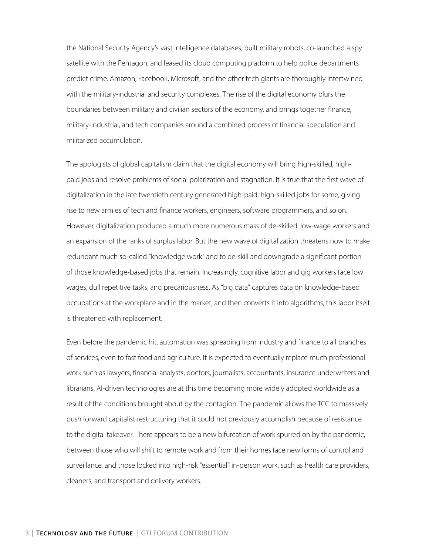the National Security Agency's vast intelligence databases, built military robots, co-launched a spy satellite with the Pentagon, and leased its cloud computing platform to help police departments predict crime. Amazon, Facebook, Microsoft, and the other tech giants are thoroughly intertwined with the military-industrial and security complexes. The rise of the digital economy blurs the boundaries between military and civilian sectors of the economy, and brings together finance, military-industrial, and tech companies around a combined process of financial speculation and militarized accumulation.

The apologists of global capitalism claim that the digital economy will bring high-skilled, highpaid jobs and resolve problems of social polarization and stagnation. It is true that the first wave of digitalization in the late twentieth century generated high-paid, high-skilled jobs for some, giving rise to new armies of tech and finance workers, engineers, software programmers, and so on. However, digitalization produced a much more numerous mass of de-skilled, low-wage workers and an expansion of the ranks of surplus labor. But the new wave of digitalization threatens now to make redundant much so-called "knowledge work" and to de-skill and downgrade a significant portion of those knowledge-based jobs that remain. Increasingly, cognitive labor and gig workers face low wages, dull repetitive tasks, and precariousness. As "big data" captures data on knowledge-based occupations at the workplace and in the market, and then converts it into algorithms, this labor itself is threatened with replacement.

Even before the pandemic hit, automation was spreading from industry and finance to all branches of services, even to fast food and agriculture. It is expected to eventually replace much professional work such as lawyers, financial analysts, doctors, journalists, accountants, insurance underwriters and librarians. AI-driven technologies are at this time becoming more widely adopted worldwide as a result of the conditions brought about by the contagion. The pandemic allows the TCC to massively push forward capitalist restructuring that it could not previously accomplish because of resistance to the digital takeover. There appears to be a new bifurcation of work spurred on by the pandemic, between those who will shift to remote work and from their homes face new forms of control and surveillance, and those locked into high-risk "essential" in-person work, such as health care providers, cleaners, and transport and delivery workers.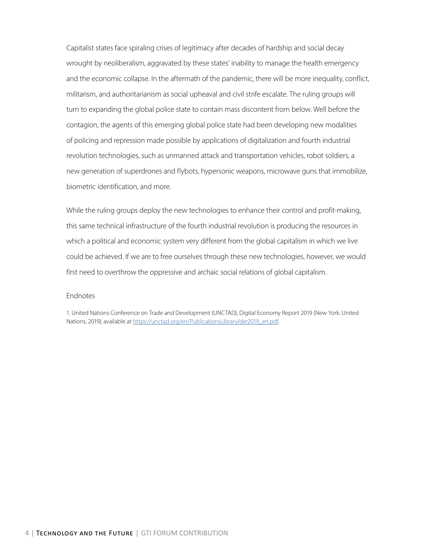Capitalist states face spiraling crises of legitimacy after decades of hardship and social decay wrought by neoliberalism, aggravated by these states' inability to manage the health emergency and the economic collapse. In the aftermath of the pandemic, there will be more inequality, conflict, militarism, and authoritarianism as social upheaval and civil strife escalate. The ruling groups will turn to expanding the global police state to contain mass discontent from below. Well before the contagion, the agents of this emerging global police state had been developing new modalities of policing and repression made possible by applications of digitalization and fourth industrial revolution technologies, such as unmanned attack and transportation vehicles, robot soldiers, a new generation of superdrones and flybots, hypersonic weapons, microwave guns that immobilize, biometric identification, and more.

While the ruling groups deploy the new technologies to enhance their control and profit-making, this same technical infrastructure of the fourth industrial revolution is producing the resources in which a political and economic system very different from the global capitalism in which we live could be achieved. If we are to free ourselves through these new technologies, however, we would first need to overthrow the oppressive and archaic social relations of global capitalism.

#### Endnotes

1. United Nations Conference on Trade and Development (UNCTAD), Digital Economy Report 2019 (New York: United Nations, 2019), available at [https://unctad.org/en/PublicationsLibrary/der2019\\_en.pdf.](https://unctad.org/system/files/official-document/der2019_en.pdf)